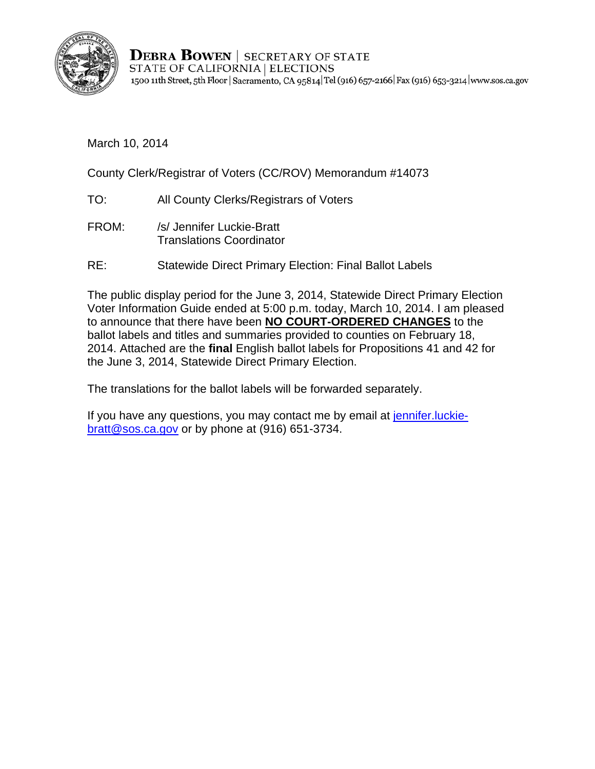

**DEBRA BOWEN** | SECRETARY OF STATE STATE OF CALIFORNIA | ELECTIONS 1500 11th Street, 5th Floor | Sacramento, CA 95814 Tel (916) 657-2166 Fax (916) 653-3214 | www.sos.ca.gov

March 10, 2014

County Clerk/Registrar of Voters (CC/ROV) Memorandum #14073

- TO: All County Clerks/Registrars of Voters
- FROM: /s/ Jennifer Luckie-Bratt Translations Coordinator
- RE: Statewide Direct Primary Election: Final Ballot Labels

The public display period for the June 3, 2014, Statewide Direct Primary Election Voter Information Guide ended at 5:00 p.m. today, March 10, 2014. I am pleased to announce that there have been **NO COURT-ORDERED CHANGES** to the ballot labels and titles and summaries provided to counties on February 18, 2014. Attached are the **final** English ballot labels for Propositions 41 and 42 for the June 3, 2014, Statewide Direct Primary Election.

The translations for the ballot labels will be forwarded separately.

If you have any questions, you may contact me by email at jennifer. luckiebratt@sos.ca.gov or by phone at (916) 651-3734.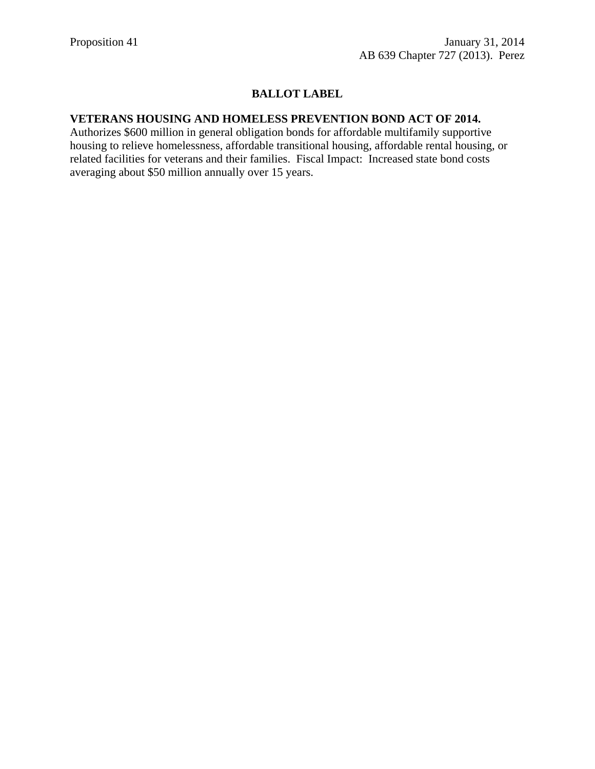## **BALLOT LABEL**

## **VETERANS HOUSING AND HOMELESS PREVENTION BOND ACT OF 2014.**

Authorizes \$600 million in general obligation bonds for affordable multifamily supportive housing to relieve homelessness, affordable transitional housing, affordable rental housing, or related facilities for veterans and their families. Fiscal Impact: Increased state bond costs averaging about \$50 million annually over 15 years.